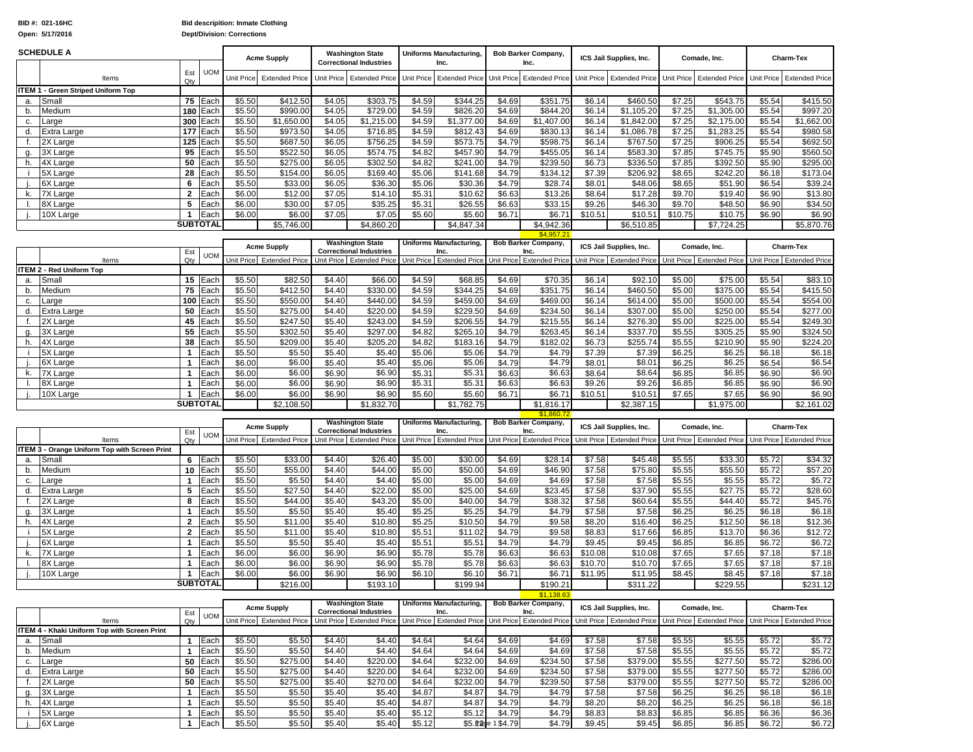**Dept/Division: Corrections**

|          | <b>SCHEDULE A</b>                                    |                              |                         |                  | <b>Acme Supply</b>        |                  | <b>Washington State</b><br><b>Correctional Industries</b> |                  | <b>Uniforms Manufacturing,</b><br>Inc.                    |                              | <b>Bob Barker Company,</b><br>Inc.       |                   | ICS Jail Supplies, Inc.   |                  | Comade, Inc.                                                                  |                  | Charm-Tex                                                                                    |
|----------|------------------------------------------------------|------------------------------|-------------------------|------------------|---------------------------|------------------|-----------------------------------------------------------|------------------|-----------------------------------------------------------|------------------------------|------------------------------------------|-------------------|---------------------------|------------------|-------------------------------------------------------------------------------|------------------|----------------------------------------------------------------------------------------------|
|          | Items                                                | Est<br>Qty                   | <b>UOM</b>              | Unit Price       | <b>Extended Price</b>     |                  | Unit Price Extended Price                                 | Unit Price       |                                                           |                              | Extended Price Unit Price Extended Price |                   |                           |                  | Unit Price Extended Price Unit Price Extended Price Unit Price                |                  | <b>Extended Price</b>                                                                        |
|          | <b>ITEM 1 - Green Striped Uniform Top</b>            |                              |                         |                  |                           |                  |                                                           |                  |                                                           |                              |                                          |                   |                           |                  |                                                                               |                  |                                                                                              |
| a.       | Small                                                |                              | 75 Each                 | \$5.50           | \$412.50                  | \$4.05           | \$303.75                                                  | \$4.59           | \$344.25                                                  | \$4.69                       | \$351.75                                 | \$6.14            | \$460.50                  | \$7.25           | \$543.75                                                                      | \$5.54           | \$415.50                                                                                     |
| b.       | Medium                                               |                              | 180 Each                | \$5.50           | \$990.00                  | \$4.05           | \$729.00                                                  | \$4.59           | \$826.20                                                  | \$4.69                       | \$844.20                                 | \$6.14            | \$1,105.20                | \$7.25           | \$1,305.00                                                                    | \$5.54           | \$997.20                                                                                     |
| c.       | arge                                                 |                              | 300 Each                | \$5.50           | \$1,650.00                | \$4.05           | \$1,215.00                                                | \$4.59           | \$1,377.00                                                | \$4.69                       | \$1,407.00                               | \$6.14            | \$1,842.00                | \$7.25           | \$2,175.00                                                                    | \$5.54           | \$1,662.00                                                                                   |
| d.       | Extra Large                                          | 177 I                        | Each                    | \$5.50           | \$973.50                  | \$4.05           | \$716.85                                                  | \$4.59           | \$812.43                                                  | \$4.69                       | \$830.13                                 | \$6.14            | \$1,086.78                | \$7.25           | \$1,283.25                                                                    | \$5.54           | \$980.58                                                                                     |
| f.       | 2X Large                                             |                              | 125 Each                | \$5.50           | \$687.50                  | \$6.05           | \$756.25                                                  | \$4.59           | \$573.75                                                  | \$4.79                       | \$598.75                                 | \$6.14            | \$767.50                  | \$7.25           | \$906.25                                                                      | \$5.54           | \$692.50                                                                                     |
| g.       | 3X Large                                             | 95                           | Each                    | \$5.50           | \$522.50                  | \$6.05           | \$574.75                                                  | \$4.82           | \$457.90                                                  | \$4.79                       | \$455.05                                 | \$6.14            | \$583.30                  | \$7.85           | \$745.75                                                                      | \$5.90           | \$560.50                                                                                     |
| h.       | 4X Large                                             | 50                           | Each                    | \$5.50           | \$275.00                  | \$6.05           | \$302.50                                                  | \$4.82           | \$241.00                                                  | \$4.79                       | \$239.50                                 | \$6.73            | \$336.50                  | \$7.85           | \$392.50                                                                      | \$5.90           | \$295.00                                                                                     |
|          | 5X Large                                             | 28                           | Each                    | \$5.50           | \$154.00                  | \$6.05           | \$169.40                                                  | \$5.06           | \$141.68                                                  | \$4.79                       | \$134.12                                 | \$7.39            | \$206.92                  | \$8.65           | \$242.20                                                                      | \$6.18           | \$173.04                                                                                     |
|          | 6X Large                                             | 6                            | Each                    | \$5.50           | \$33.00                   | \$6.05           | \$36.30                                                   | \$5.06           | \$30.36                                                   | \$4.79                       | \$28.74                                  | \$8.01            | \$48.06                   | \$8.65           | \$51.90                                                                       | \$6.54           | \$39.24                                                                                      |
| k.       | <b>7X Large</b>                                      | $\mathbf{2}$                 | Each                    | \$6.00           | \$12.00                   | \$7.05           | \$14.10                                                   | \$5.31           | \$10.62                                                   | \$6.63                       | \$13.26                                  | \$8.64            | \$17.28                   | \$9.70           | \$19.40                                                                       | \$6.90           | \$13.80                                                                                      |
|          | 8X Large                                             | 5                            | Each                    | \$6.00           | \$30.00                   | \$7.05           | \$35.25                                                   | \$5.31           | \$26.55                                                   | \$6.63                       | \$33.15                                  | \$9.26            | \$46.30                   | \$9.70           | \$48.50                                                                       | \$6.90           | \$34.50                                                                                      |
|          | 10X Large                                            | -1                           | Each                    | \$6.00           | \$6.00                    | \$7.05           | \$7.05                                                    | \$5.60           | \$5.60                                                    | \$6.71                       | \$6.71                                   | \$10.51           | \$10.51                   | \$10.75          | \$10.75                                                                       | \$6.90           | \$6.90                                                                                       |
|          |                                                      |                              | <b>SUBTOTAL</b>         |                  | \$5,746.00                |                  | \$4,860.20                                                |                  | \$4,847.34                                                |                              | \$4,942.36<br>\$4,957.21                 |                   | \$6,510.85                |                  | \$7,724.25                                                                    |                  | $\overline{$}5,870.76$                                                                       |
|          |                                                      |                              |                         |                  |                           |                  | <b>Washington State</b>                                   |                  | <b>Uniforms Manufacturing,</b>                            |                              | <b>Bob Barker Company,</b>               |                   |                           |                  |                                                                               |                  |                                                                                              |
|          |                                                      | Est                          | <b>UOM</b>              |                  | <b>Acme Supply</b>        |                  | <b>Correctional Industries</b>                            |                  | Inc.                                                      |                              | Inc.                                     |                   | ICS Jail Supplies, Inc.   |                  | Comade, Inc.                                                                  |                  | Charm-Tex                                                                                    |
|          | Items                                                | Qty                          |                         |                  | Unit Price Extended Price |                  | Unit Price Extended Price                                 |                  | Unit Price Extended Price Unit Price Extended Price       |                              |                                          |                   | Unit Price Extended Price |                  | Unit Price Extended Price Unit Price Extended Price                           |                  |                                                                                              |
|          | ITEM 2 - Red Uniform Top                             |                              |                         |                  |                           |                  |                                                           |                  |                                                           |                              |                                          |                   |                           |                  |                                                                               |                  |                                                                                              |
| a.       | Small                                                |                              | 15 Each                 | \$5.50           | \$82.50                   | \$4.40           | \$66.00                                                   | \$4.59           | \$68.85                                                   | \$4.69                       | \$70.35                                  | \$6.14            | \$92.10                   | \$5.00           | \$75.00                                                                       | \$5.54           | \$83.10                                                                                      |
| b.       | Medium                                               | 75                           | Each                    | \$5.50           | \$412.50                  | \$4.40           | \$330.00                                                  | \$4.59           | \$344.25                                                  | \$4.69                       | \$351.75                                 | \$6.14            | \$460.50                  | \$5.00           | \$375.00                                                                      | \$5.54           | \$415.50                                                                                     |
| c.       | arge                                                 |                              | 100 Each                | \$5.50           | \$550.00                  | \$4.40           | \$440.00                                                  | \$4.59           | \$459.00                                                  | \$4.69                       | \$469.00                                 | \$6.14            | \$614.00                  | \$5.00           | \$500.00                                                                      | \$5.54           | \$554.00                                                                                     |
| d.       | Extra Large                                          | 50                           | Each                    | \$5.50           | \$275.00                  | \$4.40           | \$220.00                                                  | \$4.59           | \$229.50                                                  | \$4.69                       | \$234.50                                 | \$6.14            | \$307.00                  | \$5.00           | \$250.00                                                                      | \$5.54           | \$277.00                                                                                     |
| f.       | 2X Large                                             | 45                           | Each                    | \$5.50           | \$247.50                  | \$5.40           | \$243.00                                                  | \$4.59           | \$206.55                                                  | \$4.79                       | \$215.55                                 | \$6.14            | \$276.30                  | \$5.00           | \$225.00                                                                      | \$5.54           | \$249.30                                                                                     |
| g.       | 3X Large                                             | 55                           | Each                    | \$5.50           | \$302.50                  | \$5.40           | \$297.00                                                  | \$4.82           | \$265.10                                                  | \$4.79                       | \$263.45                                 | \$6.14            | \$337.70                  | \$5.55           | \$305.25                                                                      | \$5.90           | \$324.50                                                                                     |
| h.       | 4X Large                                             | 38                           | Each                    | \$5.50           | \$209.00                  | \$5.40           | \$205.20                                                  | \$4.82           | \$183.16                                                  | \$4.79                       | \$182.02                                 | \$6.73            | \$255.74                  | \$5.55           | \$210.90                                                                      | \$5.90           | \$224.20                                                                                     |
| j.       | 5X Large                                             | 1                            | Each                    | \$5.50           | \$5.50                    | \$5.40           | \$5.40                                                    | \$5.06           | \$5.06                                                    | \$4.79                       | \$4.79                                   | \$7.39            | \$7.39                    | \$6.25           | \$6.25                                                                        | \$6.18           | \$6.18                                                                                       |
|          | 6X Large                                             | $\mathbf{1}$                 | Each                    | \$6.00           | \$6.00                    | \$5.40           | \$5.40                                                    | \$5.06           | \$5.06                                                    | \$4.79                       | \$4.79                                   | \$8.01            | \$8.01                    | \$6.25           | \$6.25                                                                        | \$6.54           | \$6.54                                                                                       |
| k.       | 7X Large                                             | -1<br>$\mathbf{1}$           | Each                    | \$6.00           | \$6.00                    | \$6.90           | \$6.90                                                    | \$5.31           | \$5.31                                                    | \$6.63                       | \$6.63                                   | \$8.64            | \$8.64                    | \$6.85           | \$6.85                                                                        | \$6.90           | \$6.90                                                                                       |
|          | 8X Large                                             | 1                            | Each                    | \$6.00           | \$6.00                    | \$6.90           | \$6.90                                                    | \$5.31           | \$5.31                                                    | \$6.63                       | \$6.63                                   | \$9.26<br>\$10.51 | \$9.26                    | \$6.85           | \$6.85                                                                        | \$6.90           | \$6.90<br>\$6.90                                                                             |
|          | 10X Large                                            |                              | Each<br><b>SUBTOTAL</b> | \$6.00           | \$6.00                    | \$6.90           | \$6.90                                                    | \$5.60           | \$5.60                                                    | \$6.71                       | \$6.71                                   |                   | \$10.51                   | \$7.65           | \$7.65                                                                        | \$6.90           |                                                                                              |
|          |                                                      |                              |                         |                  | \$2,108.50                |                  | \$1,832.70                                                |                  | \$1,782.75                                                |                              | \$1,816.17<br>\$1,860.7                  |                   | \$2,387.15                |                  | \$1,975.00                                                                    |                  | \$2,161.02                                                                                   |
|          |                                                      |                              |                         |                  |                           |                  | <b>Washington State</b>                                   |                  | <b>Uniforms Manufacturing,</b>                            |                              | <b>Bob Barker Company,</b>               |                   | ICS Jail Supplies, Inc.   |                  | Comade, Inc.                                                                  |                  | Charm-Tex                                                                                    |
|          |                                                      | Est                          | <b>UOM</b>              |                  | <b>Acme Supply</b>        |                  | <b>Correctional Industries</b>                            |                  | Inc.                                                      |                              | Inc.                                     |                   |                           |                  |                                                                               |                  |                                                                                              |
|          | Items                                                | Qty                          |                         |                  | Unit Price Extended Price |                  | Unit Price Extended Price                                 | Unit Price       | <b>Extended Price</b>                                     |                              | Unit Price Extended Price                |                   | Unit Price Extended Price |                  | Unit Price Extended Price                                                     |                  | Unit Price Extended Price                                                                    |
|          | <b>ITEM 3 - Orange Uniform Top with Screen Print</b> |                              |                         |                  |                           |                  |                                                           |                  |                                                           |                              |                                          |                   |                           |                  |                                                                               |                  |                                                                                              |
| a.       | Small                                                |                              | 6 Each                  | \$5.50           | \$33.00                   | \$4.40           | \$26.40                                                   | \$5.00<br>\$5.00 | \$30.00<br>\$50.00                                        | \$4.69                       | \$28.14<br>\$46.90                       | \$7.58<br>\$7.58  | \$45.48<br>\$75.80        | \$5.55           | \$33.30<br>\$55.50                                                            | \$5.72<br>\$5.72 | \$34.32                                                                                      |
| b.       | Medium                                               | $\mathbf{1}$                 | 10 Each                 | \$5.50<br>\$5.50 | \$55.00                   | \$4.40           | \$44.00                                                   |                  |                                                           |                              |                                          |                   |                           |                  |                                                                               |                  | \$57.20                                                                                      |
| C.<br>d. | arge<br>Extra Large                                  |                              | Each                    |                  |                           |                  |                                                           |                  |                                                           | \$4.69                       |                                          |                   |                           | \$5.55           |                                                                               |                  |                                                                                              |
| f.       |                                                      |                              |                         |                  | \$5.50                    | \$4.40           | \$4.40                                                    | \$5.00           | \$5.00                                                    | \$4.69                       | \$4.69                                   | \$7.58            | \$7.58                    | \$5.55           | \$5.55                                                                        | \$5.72           |                                                                                              |
|          |                                                      | 5                            | Each                    | \$5.50           | \$27.50                   | \$4.40           | \$22.00                                                   | \$5.00           | \$25.00                                                   | \$4.69                       | \$23.45                                  | \$7.58            | \$37.90                   | \$5.55           | \$27.75                                                                       | \$5.72           |                                                                                              |
|          | 2X Large                                             | 8                            | Each                    | \$5.50           | \$44.00                   | \$5.40           | \$43.20                                                   | \$5.00           | \$40.00                                                   | \$4.79                       | \$38.32                                  | \$7.58            | \$60.64                   | \$5.55           | \$44.40                                                                       | \$5.72           |                                                                                              |
| g.       | 3X Large                                             | $\mathbf{1}$                 | Each                    | \$5.50           | \$5.50                    | \$5.40           | \$5.40                                                    | \$5.25           | \$5.25                                                    | \$4.79                       | \$4.79                                   | \$7.58            | \$7.58                    | \$6.25           | \$6.25                                                                        | \$6.18           |                                                                                              |
| h.       | 4X Large                                             | $\mathbf{2}$                 | Each                    | \$5.50           | \$11.00                   | \$5.40           | \$10.80                                                   | \$5.25           | \$10.50                                                   | \$4.79                       | \$9.58                                   | \$8.20            | \$16.40                   | \$6.25           | \$12.50                                                                       | \$6.18           |                                                                                              |
| -i       | 5X Large                                             | $\overline{2}$<br>-1         | Each                    | \$5.50           | \$11.00                   | \$5.40           | \$10.80                                                   | \$5.51           | \$11.02                                                   | \$4.79                       | \$9.58                                   | \$8.83            | \$17.66                   | \$6.85           | \$13.70                                                                       | \$6.36           |                                                                                              |
|          | 6X Large                                             | $\mathbf{1}$                 | Each                    | \$5.50           | \$5.50                    | \$5.40           | \$5.40                                                    | \$5.51           | \$5.51                                                    | \$4.79                       | \$4.79                                   | \$9.45            | \$9.45                    | \$6.85           | \$6.85                                                                        | \$6.72           | \$5.72<br>\$28.60<br>\$45.76<br>\$6.18<br>\$12.36<br>\$12.72<br>\$6.72                       |
| k.       | 7X Large                                             | -1                           | Each                    | \$6.00           | \$6.00                    | \$6.90           | \$6.90                                                    | \$5.78           | \$5.78                                                    | \$6.63                       | \$6.63                                   | \$10.08           | \$10.08                   | \$7.65           | \$7.65                                                                        | \$7.18           | \$7.18                                                                                       |
|          | 8X Large                                             |                              | Each                    | \$6.00           | \$6.00                    | \$6.90           | \$6.90                                                    | \$5.78           | \$5.78                                                    | \$6.63                       | \$6.63                                   | \$10.70           | \$10.70                   | \$7.65           | \$7.65                                                                        | \$7.18           | \$7.18                                                                                       |
|          | 10X Large                                            |                              | Each                    | \$6.00           | \$6.00                    | \$6.90           | \$6.90                                                    | \$6.10           | \$6.10                                                    | \$6.71                       | \$6.71                                   | \$11.95           | \$11.95                   | \$8.45           | \$8.45                                                                        | \$7.18           | \$7.18                                                                                       |
|          |                                                      |                              | <b>SUBTOTAL</b>         |                  | \$216.00                  |                  | \$193.10                                                  |                  | \$199.94                                                  |                              | \$190.21<br>\$1138                       |                   | \$311.22                  |                  | \$229.55                                                                      |                  |                                                                                              |
|          |                                                      |                              |                         |                  |                           |                  | <b>Washington State</b>                                   |                  | Uniforms Manufacturing,                                   |                              | <b>Bob Barker Company,</b>               |                   |                           |                  |                                                                               |                  | \$231.12                                                                                     |
|          |                                                      | Est                          | <b>UOM</b>              |                  | <b>Acme Supply</b>        |                  | <b>Correctional Industries</b>                            |                  | Inc.                                                      |                              | Inc.                                     |                   | ICS Jail Supplies, Inc.   |                  | Comade, Inc.                                                                  |                  | Charm-Tex                                                                                    |
|          | Items                                                | Qtv                          |                         |                  | Unit Price Extended Price |                  | Unit Price Extended Price                                 |                  | Unit Price   Extended Price   Unit Price   Extended Price |                              |                                          |                   |                           |                  | Unit Price Extended Price Unit Price Extended Price Unit Price Extended Price |                  |                                                                                              |
|          | ITEM 4 - Khaki Uniform Top with Screen Print         |                              |                         |                  |                           |                  |                                                           |                  |                                                           |                              |                                          |                   |                           |                  |                                                                               |                  |                                                                                              |
| а.       | Small                                                |                              | 1 Each                  | \$5.50           | \$5.50                    | \$4.40           | \$4.40                                                    | \$4.64           | \$4.64                                                    | \$4.69                       | \$4.69                                   | \$7.58            | \$7.58                    | \$5.55           | \$5.55                                                                        | \$5.72           |                                                                                              |
| b.       | Medium                                               | $\mathbf{1}$                 | Each                    | \$5.50           | \$5.50                    | \$4.40           | \$4.40                                                    | \$4.64           | \$4.64                                                    | \$4.69                       | \$4.69                                   | \$7.58            | \$7.58                    | \$5.55           | \$5.55                                                                        | \$5.72           |                                                                                              |
| c.       | Large                                                |                              | 50 Each                 | \$5.50           | \$275.00                  | \$4.40           | \$220.00                                                  | \$4.64           | \$232.00                                                  | \$4.69                       | \$234.50                                 | \$7.58            | \$379.00                  | \$5.55           | \$277.50                                                                      | \$5.72           |                                                                                              |
| d.       | <b>Extra Large</b>                                   |                              | 50 Each                 | \$5.50           | \$275.00                  | \$4.40           | \$220.00                                                  | \$4.64           | \$232.00                                                  | \$4.69                       | \$234.50                                 | \$7.58            | \$379.00                  | \$5.55           | \$277.50                                                                      | \$5.72           |                                                                                              |
| f.       | 2X Large                                             |                              | 50 Each                 | \$5.50           | \$275.00                  | \$5.40           | \$270.00                                                  | \$4.64           | \$232.00                                                  | \$4.79                       | \$239.50                                 | \$7.58            | \$379.00                  | \$5.55           | \$277.50                                                                      | \$5.72           |                                                                                              |
| g.       | 3X Large                                             | $\mathbf{1}$                 | Each                    | \$5.50           | \$5.50                    | \$5.40           | \$5.40                                                    | \$4.87           | \$4.87                                                    | \$4.79                       | \$4.79                                   | \$7.58            | \$7.58                    | \$6.25           | \$6.25                                                                        | \$6.18           |                                                                                              |
| h.       | 4X Large                                             | $\mathbf{1}$                 | Each                    | \$5.50           | \$5.50                    | \$5.40           | \$5.40                                                    | \$4.87           | \$4.87                                                    | \$4.79                       | \$4.79                                   | \$8.20            | \$8.20                    | \$6.25           | \$6.25                                                                        | \$6.18           |                                                                                              |
| i.       | 5X Large<br>6X Large                                 | $\mathbf{1}$<br>$\mathbf{1}$ | Each<br>Each            | \$5.50<br>\$5.50 | \$5.50<br>\$5.50          | \$5.40<br>\$5.40 | \$5.40<br>\$5.40                                          | \$5.12<br>\$5.12 | \$5.12                                                    | \$4.79<br>\$5. Page 1 \$4.79 | \$4.79<br>\$4.79                         | \$8.83<br>\$9.45  | \$8.83<br>\$9.45          | \$6.85<br>\$6.85 | \$6.85<br>\$6.85                                                              | \$6.36<br>\$6.72 | \$5.72<br>\$5.72<br>\$286.00<br>\$286.00<br>\$286.00<br>\$6.18<br>\$6.18<br>\$6.36<br>\$6.72 |

**BID #: 021-16HC Open: 5/17/2016**

**Bid descripition: Inmate Clothing**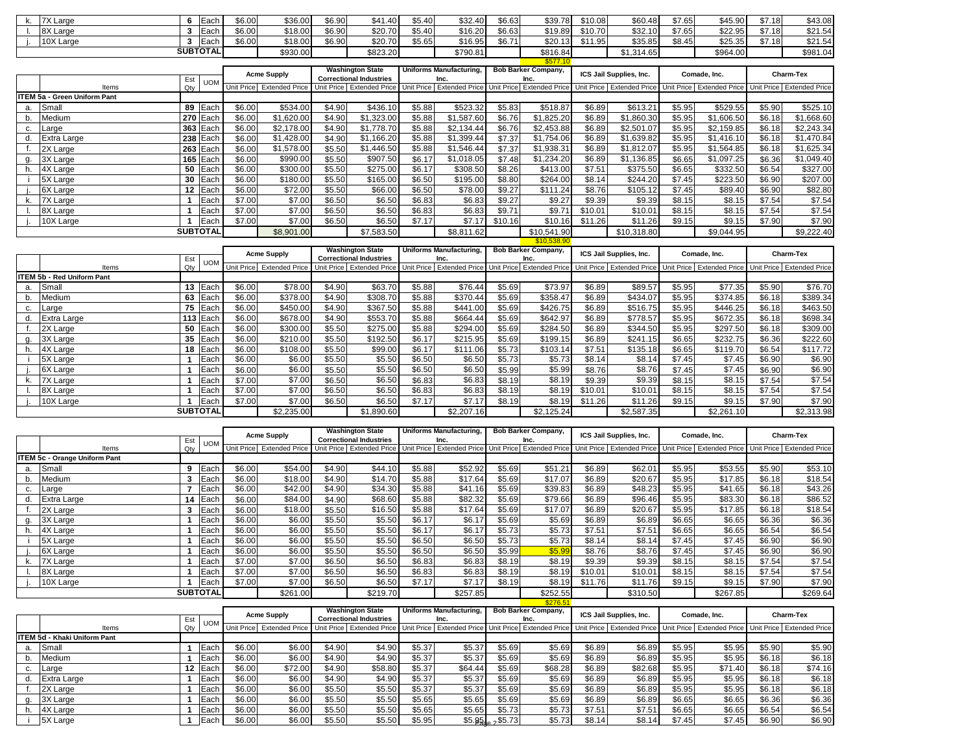|    | 7X Large                            |                 | 6 Each              | \$6.00           | \$36.00                   | \$6.90           | \$41.40                                                   | \$5.40           | \$32.40                                | \$6.63           | \$39.78                                             | \$10.08          | \$60.48                                                                                                                           | \$7.65           | \$45.90                                             | \$7.18           | \$43.08                         |
|----|-------------------------------------|-----------------|---------------------|------------------|---------------------------|------------------|-----------------------------------------------------------|------------------|----------------------------------------|------------------|-----------------------------------------------------|------------------|-----------------------------------------------------------------------------------------------------------------------------------|------------------|-----------------------------------------------------|------------------|---------------------------------|
|    | 8X Large                            | 3               | Each                | \$6.00           | \$18.00                   | \$6.90           | \$20.70                                                   | \$5.40           | \$16.20                                | \$6.63           | \$19.89                                             | \$10.70          | \$32.10                                                                                                                           | \$7.65           | \$22.95                                             | \$7.18           | \$21.54                         |
|    | 10X Large                           | $\mathbf{3}$    | Each                | \$6.00           | \$18.00                   | \$6.90           | \$20.70                                                   | \$5.65           | \$16.95                                | \$6.71           | \$20.13                                             | \$11.95          | \$35.85                                                                                                                           | \$8.45           | \$25.35                                             | \$7.18           | \$21.54                         |
|    |                                     | <b>SUBTOTAL</b> |                     |                  | \$930.00                  |                  | \$823.20                                                  |                  | \$790.81                               |                  | \$816.84                                            |                  | \$1,314.65                                                                                                                        |                  | \$964.00                                            |                  | \$981.04                        |
|    |                                     |                 |                     |                  |                           |                  |                                                           |                  |                                        |                  | \$577.10                                            |                  |                                                                                                                                   |                  |                                                     |                  |                                 |
|    |                                     |                 |                     |                  | <b>Acme Supply</b>        |                  | <b>Washington State</b>                                   |                  | Uniforms Manufacturing,                |                  | <b>Bob Barker Company,</b>                          |                  | ICS Jail Supplies, Inc.                                                                                                           |                  | Comade, Inc.                                        |                  | <b>Charm-Tex</b>                |
|    |                                     | Est             | <b>UOM</b>          |                  |                           |                  | <b>Correctional Industries</b>                            |                  | Inc.                                   |                  | Inc.                                                |                  |                                                                                                                                   |                  |                                                     |                  |                                 |
|    | Items                               | Qtv             |                     |                  | Unit Price Extended Price |                  | Unit Price Extended Price                                 |                  |                                        |                  | Unit Price Extended Price Unit Price Extended Price |                  | Unit Price Extended Price                                                                                                         |                  | Unit Price Extended Price Unit Price Extended Price |                  |                                 |
|    | <b>ITEM 5a - Green Uniform Pant</b> |                 |                     |                  | \$534.00                  |                  |                                                           |                  |                                        |                  |                                                     |                  |                                                                                                                                   |                  |                                                     |                  | \$525.10                        |
| a. | Small                               |                 | 89 Each<br>270 Each | \$6.00<br>\$6.00 | \$1,620.00                | \$4.90           | \$436.10                                                  | \$5.88           | \$523.32                               | \$5.83           | \$518.87                                            | \$6.89           | $$613.2^{\circ}$                                                                                                                  | \$5.95           | \$529.55                                            | \$5.90           | \$1,668.60                      |
| b. | Medium                              |                 |                     | \$6.00           | \$2,178.00                | \$4.90<br>\$4.90 | \$1,323.00                                                | \$5.88<br>\$5.88 | \$1,587.60<br>\$2,134.44               | \$6.76<br>\$6.76 | \$1,825.20<br>\$2,453.88                            | \$6.89<br>\$6.89 | \$1,860.30<br>\$2,501.07                                                                                                          | \$5.95<br>\$5.95 | \$1,606.50<br>\$2,159.85                            | \$6.18<br>\$6.18 |                                 |
| C. | Large                               |                 | 363 Each            |                  |                           |                  | \$1,778.70                                                |                  |                                        |                  |                                                     |                  |                                                                                                                                   |                  |                                                     |                  | \$2,243.34                      |
| d. | Extra Large                         |                 | 238 Each            | \$6.00           | \$1,428.00                | \$4.90           | \$1,166.20                                                | \$5.88           | \$1,399.44                             | \$7.37           | \$1,754.06                                          | \$6.89           | \$1,639.82                                                                                                                        | \$5.95           | \$1,416.10                                          | \$6.18           | \$1,470.84                      |
|    | 2X Large                            | 263             | Each                | \$6.00           | \$1,578.00                | \$5.50           | \$1,446.50                                                | \$5.88           | \$1,546.44                             | \$7.37           | \$1,938.31                                          | \$6.89           | \$1,812.07                                                                                                                        | \$5.95           | \$1,564.85                                          | \$6.18           | \$1,625.34                      |
| a. | 3X Large                            |                 | 165 Each            | \$6.00           | \$990.00                  | \$5.50           | \$907.50                                                  | \$6.17           | \$1,018.05                             | \$7.48           | \$1,234.20                                          | \$6.89           | \$1,136.85                                                                                                                        | \$6.65           | \$1,097.25                                          | \$6.36           | \$1,049.40                      |
| h. | 4X Large                            |                 | 50 Each             | \$6.00           | \$300.00                  | \$5.50           | \$275.00                                                  | \$6.17           | \$308.50                               | \$8.26           | \$413.00                                            | \$7.51           | \$375.50                                                                                                                          | \$6.65           | \$332.50                                            | \$6.54           | \$327.00                        |
|    | 5X Large                            | 30              | Each                | \$6.00           | \$180.00                  | \$5.50           | \$165.00                                                  | \$6.50           | \$195.00                               | \$8.80           | \$264.00                                            | \$8.14           | \$244.20                                                                                                                          | \$7.45           | \$223.50                                            | \$6.90           | \$207.00                        |
|    | 6X Large                            | 12 <sub>2</sub> | Each                | \$6.00           | \$72.00                   | \$5.50           | \$66.00                                                   | \$6.50           | \$78.00                                | \$9.27           | \$111.24                                            | \$8.76           | \$105.12                                                                                                                          | \$7.45           | \$89.40                                             | \$6.90           | \$82.80                         |
| k. | 7X Large                            | $\mathbf{1}$    | Each                | \$7.00           | \$7.00                    | \$6.50           | \$6.50                                                    | \$6.83           | \$6.83                                 | \$9.27           | \$9.27                                              | \$9.39           | \$9.39                                                                                                                            | \$8.15           | \$8.15                                              | \$7.54           | \$7.54                          |
|    | 8X Large                            | 1               | Each                | \$7.00           | \$7.00                    | \$6.50           | \$6.50                                                    | \$6.83           | \$6.83                                 | \$9.71           | \$9.71                                              | \$10.01          | \$10.01                                                                                                                           | \$8.15           | \$8.15                                              | \$7.54           | \$7.54                          |
|    | 10X Large                           | 1               | Each                | \$7.00           | \$7.00                    | \$6.50           | \$6.50                                                    | \$7.17           | \$7.17                                 | \$10.16          | \$10.16                                             | \$11.26          | $\overline{$11.26}$                                                                                                               | \$9.15           | \$9.15                                              | \$7.90           | \$7.90                          |
|    |                                     |                 |                     |                  |                           |                  |                                                           |                  |                                        |                  |                                                     |                  |                                                                                                                                   |                  |                                                     |                  |                                 |
|    |                                     | <b>SUBTOTAL</b> |                     |                  | \$8,901.00                |                  | \$7,583.50                                                |                  | \$8,811.62                             |                  | \$10,541.90                                         |                  | \$10,318.80                                                                                                                       |                  | \$9,044.95                                          |                  |                                 |
|    |                                     |                 |                     |                  |                           |                  |                                                           |                  |                                        |                  | \$10,538.90                                         |                  |                                                                                                                                   |                  |                                                     |                  |                                 |
|    |                                     |                 |                     |                  |                           |                  | <b>Washington State</b>                                   |                  | <b>Uniforms Manufacturing,</b>         |                  | <b>Bob Barker Company,</b>                          |                  | ICS Jail Supplies, Inc.                                                                                                           |                  | Comade, Inc.                                        |                  | Charm-Tex                       |
|    |                                     | Est             | <b>UOM</b>          |                  | <b>Acme Supply</b>        |                  | <b>Correctional Industries</b>                            |                  | Inc.                                   |                  | Inc.                                                |                  |                                                                                                                                   |                  |                                                     |                  |                                 |
|    | Items                               | Qty             |                     |                  | Unit Price Extended Price |                  | Unit Price Extended Price                                 |                  |                                        |                  |                                                     |                  | Unit Price Extended Price Unit Price Extended Price Unit Price Extended Price Unit Price Extended Price Unit Price Extended Price |                  |                                                     |                  |                                 |
|    | <b>ITEM 5b - Red Uniform Pant</b>   |                 |                     |                  |                           |                  |                                                           |                  |                                        |                  |                                                     |                  |                                                                                                                                   |                  |                                                     |                  |                                 |
| a. | Small                               |                 | 13 Each             | \$6.00           | \$78.00                   | \$4.90           | \$63.70                                                   | \$5.88           | \$76.44                                | \$5.69           | \$73.97                                             | \$6.89           | \$89.57                                                                                                                           | \$5.95           | \$77.35                                             | \$5.90           |                                 |
| b. | Medium                              |                 | 63 Each             | \$6.00           | 3378.00                   | \$4.90           | \$308.70                                                  | \$5.88           | \$370.44                               | \$5.69           | \$358.47                                            | \$6.89           | \$434.07                                                                                                                          | \$5.95           | \$374.85                                            | \$6.18           | \$389.34                        |
| C. | Large                               |                 | 75 Each             | \$6.00           | \$450.00                  | \$4.90           | \$367.50                                                  | \$5.88           | \$441.00                               | \$5.69           | \$426.75                                            | \$6.89           | \$516.75                                                                                                                          | \$5.95           | \$446.25                                            | \$6.18           | \$463.50                        |
| d. | Extra Large                         |                 | 113 Each            | \$6.00           | \$678.00                  | \$4.90           | \$553.70                                                  | \$5.88           | \$664.44                               | \$5.69           | \$642.97                                            | \$6.89           | \$778.57                                                                                                                          | \$5.95           | \$672.35                                            | \$6.18           | \$698.34                        |
|    | 2X Large                            |                 | 50 Each             | \$6.00           | \$300.00                  | \$5.50           | \$275.00                                                  | \$5.88           | \$294.00                               | \$5.69           | \$284.50                                            | \$6.89           | \$344.50                                                                                                                          | \$5.95           | \$297.50                                            | \$6.18           | \$309.00                        |
| q. | 3X Large                            |                 | 35 Each             | \$6.00           | \$210.00                  | \$5.50           | \$192.50                                                  | \$6.17           | \$215.95                               | \$5.69           | \$199.15                                            | \$6.89           | \$241.15                                                                                                                          | \$6.65           | \$232.75                                            | \$6.36           | \$222.60                        |
| h. | 4X Large                            |                 | 18 Each             | \$6.00           | \$108.00                  | \$5.50           | \$99.00                                                   | \$6.17           | \$111.06                               | \$5.73           | \$103.14                                            | \$7.51           | \$135.18                                                                                                                          | \$6.65           | \$119.70                                            | \$6.54           | \$117.72                        |
|    | 5X Large                            | $\mathbf 1$     | Each                | \$6.00           | \$6.00                    | \$5.50           | \$5.50                                                    | \$6.50           | \$6.50                                 | \$5.73           | \$5.73                                              | \$8.14           | \$8.14                                                                                                                            | \$7.45           | \$7.45                                              | \$6.90           | \$6.90                          |
|    | 6X Large                            | 1               | Each                | \$6.00           | \$6.00                    | \$5.50           | \$5.50                                                    | \$6.50           | \$6.50                                 | \$5.99           | \$5.99                                              | \$8.76           | \$8.76                                                                                                                            | \$7.45           | \$7.45                                              | \$6.90           | \$6.90                          |
| k. | 7X Large                            | 1               | Each                | \$7.00           | \$7.00                    | \$6.50           | \$6.50                                                    | \$6.83           | \$6.83                                 | \$8.19           | \$8.19                                              | \$9.39           | \$9.39                                                                                                                            | \$8.15           | \$8.15                                              | \$7.54           | \$7.54                          |
|    | 8X Large                            | $\mathbf{1}$    | Each                | \$7.00           | \$7.00                    | \$6.50           | \$6.50                                                    | \$6.83           | \$6.83                                 | \$8.19           | \$8.19                                              | \$10.01          | \$10.01                                                                                                                           | \$8.15           | \$8.15                                              | \$7.54           | \$7.54                          |
|    | 10X Large                           | 1               | Each                | \$7.00           | \$7.00                    | \$6.50           | \$6.50                                                    | \$7.17           | \$7.17                                 | \$8.19           | \$8.19                                              | \$11.26          | \$11.26                                                                                                                           | \$9.15           | \$9.15                                              | \$7.90           | \$9,222.40<br>\$76.70<br>\$7.90 |
|    |                                     | <b>SUBTOTAL</b> |                     |                  | \$2,235.00                |                  | \$1,890.60                                                |                  | \$2,207.16                             |                  | \$2,125.24                                          |                  | \$2,587.35                                                                                                                        |                  | \$2,261.10                                          |                  | \$2,313.98                      |
|    |                                     |                 |                     |                  |                           |                  |                                                           |                  |                                        |                  |                                                     |                  |                                                                                                                                   |                  |                                                     |                  |                                 |
|    |                                     | Est             |                     |                  | <b>Acme Supply</b>        |                  | <b>Washington State</b><br><b>Correctional Industries</b> |                  | <b>Uniforms Manufacturing,</b><br>Inc. |                  | <b>Bob Barker Company,</b><br>Inc.                  |                  | ICS Jail Supplies, Inc.                                                                                                           |                  | Comade, Inc.                                        |                  | <b>Charm-Tex</b>                |

|    |                                     | Est | UOM             |        | Acme Supply                                                                                                                                                                                                                    |        | <b>Correctional Industries</b> |        | Inc.                    | Inc.   |                            | <b>ICS Jail Supplies, Inc.</b> |                                                                                                                                                                            | Comage, Inc. |          |        | Charm-Tex        |
|----|-------------------------------------|-----|-----------------|--------|--------------------------------------------------------------------------------------------------------------------------------------------------------------------------------------------------------------------------------|--------|--------------------------------|--------|-------------------------|--------|----------------------------|--------------------------------|----------------------------------------------------------------------------------------------------------------------------------------------------------------------------|--------------|----------|--------|------------------|
|    | Items                               | Qty |                 |        | Unit Price Extended Price                                                                                                                                                                                                      |        |                                |        |                         |        |                            |                                | Unit Price Extended Price Unit Price Extended Price Unit Price Extended Price Unit Price Extended Price Unit Price Extended Price Unit Price Extended Price Extended Price |              |          |        |                  |
|    | ITEM 5c - Orange Uniform Pant       |     |                 |        |                                                                                                                                                                                                                                |        |                                |        |                         |        |                            |                                |                                                                                                                                                                            |              |          |        |                  |
| a. | Small                               | 9   | Each            | \$6.00 | \$54.00                                                                                                                                                                                                                        | \$4.90 | \$44.10                        | \$5.88 | \$52.92                 | \$5.69 | \$51.21                    | \$6.89                         | \$62.01                                                                                                                                                                    | \$5.95       | \$53.55  | \$5.90 | \$53.10          |
|    | Medium                              |     | Each            | \$6.00 | \$18.00                                                                                                                                                                                                                        | \$4.90 | \$14.70                        | \$5.88 | \$17.64                 | \$5.69 | \$17.07                    | \$6.89                         | \$20.67                                                                                                                                                                    | \$5.95       | \$17.85  | \$6.18 | \$18.54          |
|    | Large                               |     | Each            | \$6.00 | \$42.00                                                                                                                                                                                                                        | \$4.90 | \$34.30                        | \$5.88 | \$41.16                 | \$5.69 | \$39.83                    | \$6.89                         | \$48.23                                                                                                                                                                    | \$5.95       | \$41.65  | \$6.18 | \$43.26          |
|    | Extra Large                         |     | 14 Each         | \$6.00 | \$84.00                                                                                                                                                                                                                        | \$4.90 | \$68.60                        | \$5.88 | \$82.32                 | \$5.69 | \$79.66                    | \$6.89                         | \$96.46                                                                                                                                                                    | \$5.95       | \$83.30  | \$6.18 | \$86.52          |
|    | 2X Large                            | 3   | Each            | \$6.00 | \$18.00                                                                                                                                                                                                                        | \$5.50 | \$16.50                        | \$5.88 | \$17.64                 | \$5.69 | \$17.07                    | \$6.89                         | \$20.67                                                                                                                                                                    | \$5.95       | \$17.85  | \$6.18 | \$18.54          |
|    | 3X Large                            |     | Each            | \$6.00 | \$6.00                                                                                                                                                                                                                         | \$5.50 | \$5.50                         | \$6.17 | \$6.17                  | \$5.69 | \$5.69                     | \$6.89                         | \$6.89                                                                                                                                                                     | \$6.65       | \$6.65   | \$6.36 | \$6.36           |
|    | 4X Large                            |     | Each            | \$6.00 | \$6.00                                                                                                                                                                                                                         | \$5.50 | \$5.50                         | \$6.17 | \$6.17                  | \$5.73 | \$5.73                     | \$7.51                         | \$7.51                                                                                                                                                                     | \$6.65       | \$6.65   | \$6.54 | \$6.54           |
|    | 5X Large                            |     | Each            | \$6.00 | \$6.00                                                                                                                                                                                                                         | \$5.50 | \$5.50                         | \$6.50 | \$6.50                  | \$5.73 | \$5.73                     | \$8.14                         | \$8.14                                                                                                                                                                     | \$7.45       | \$7.45   | \$6.90 | \$6.90           |
|    | 6X Large                            |     | Each            | \$6.00 | \$6.00                                                                                                                                                                                                                         | \$5.50 | \$5.50                         | \$6.50 | \$6.50                  | \$5.99 | \$5.99                     | \$8.76                         | \$8.76                                                                                                                                                                     | \$7.45       | \$7.45   | \$6.90 | \$6.90           |
|    | 7X Large                            |     | Each            | \$7.00 | \$7.00                                                                                                                                                                                                                         | \$6.50 | \$6.50                         | \$6.83 | \$6.83                  | \$8.19 | \$8.19                     | \$9.39                         | \$9.39                                                                                                                                                                     | \$8.15       | \$8.15   | \$7.54 | \$7.54           |
|    | 8X Large                            |     | Each            | \$7.00 | \$7.00                                                                                                                                                                                                                         | \$6.50 | \$6.50                         | \$6.83 | \$6.83                  | \$8.19 | \$8.19                     | \$10.01                        | \$10.01                                                                                                                                                                    | \$8.15       | \$8.15   | \$7.54 | \$7.54           |
|    | 10X Large                           |     | Each            | \$7.00 | \$7.00                                                                                                                                                                                                                         | \$6.50 | \$6.50                         | \$7.17 | \$7.17                  | \$8.19 | \$8.19                     | \$11.76                        | \$11.76                                                                                                                                                                    | \$9.15       | \$9.15   | \$7.90 | \$7.90           |
|    |                                     |     | <b>SUBTOTAL</b> |        | \$261.00                                                                                                                                                                                                                       |        | \$219.70                       |        | \$257.85                |        | \$252.55                   |                                | \$310.50                                                                                                                                                                   |              | \$267.85 |        | \$269.64         |
|    |                                     |     |                 |        |                                                                                                                                                                                                                                |        |                                |        |                         |        | \$276.51                   |                                |                                                                                                                                                                            |              |          |        |                  |
|    |                                     |     |                 |        | <b>Acme Supply</b>                                                                                                                                                                                                             |        | <b>Washington State</b>        |        | Uniforms Manufacturing. |        | <b>Bob Barker Company,</b> |                                | ICS Jail Supplies, Inc.                                                                                                                                                    | Comade, Inc. |          |        | <b>Charm-Tex</b> |
|    |                                     | Est | <b>UOM</b>      |        |                                                                                                                                                                                                                                |        | <b>Correctional Industries</b> |        | Inc.                    |        | Inc.                       |                                |                                                                                                                                                                            |              |          |        |                  |
|    | Items                               | Qtv |                 |        | Unit Price Extended Price   Unit Price   Extended Price   Unit Price   Extended Price   Unit Price   Extended Price   Unit Price   Extended Price   Unit Price   Extended Price   Extended Price   Extended Price   Extended P |        |                                |        |                         |        |                            |                                |                                                                                                                                                                            |              |          |        |                  |
|    | <b>ITEM 5d - Khaki Uniform Pant</b> |     |                 |        |                                                                                                                                                                                                                                |        |                                |        |                         |        |                            |                                |                                                                                                                                                                            |              |          |        |                  |
|    | Small                               |     | Each            | \$6.00 | \$6.00                                                                                                                                                                                                                         | \$4.90 | \$4.90                         | \$5.37 | \$5.37                  | \$5.69 | \$5.69                     | \$6.89                         | \$6.89                                                                                                                                                                     | \$5.95       | \$5.95   | \$5.90 | \$5.90           |
|    | Medium                              |     | Each            | \$6.00 | \$6.00                                                                                                                                                                                                                         | \$4.90 | \$4.90                         | \$5.37 | \$5.37                  | \$5.69 | \$5.69                     | \$6.89                         | \$6.89                                                                                                                                                                     | \$5.95       | \$5.95   | \$6.18 | \$6.18           |
| c. | Large                               |     | 12 Each         | \$6.00 | \$72.00                                                                                                                                                                                                                        | \$4.90 | \$58.80                        | \$5.37 | \$64.44                 | \$5.69 | \$68.28                    | \$6.89                         | \$82.68                                                                                                                                                                    | \$5.95       | \$71.40  | \$6.18 | \$74.16          |

d. Extra Large **1** Each \$6.00 \$6.00 \$4.90 \$4.90 \$5.37 \$5.37 \$5.69 \$5.69 \$6.89 \$6.89 \$5.95 \$5.95 \$6.18 \$6.18 f. 2X Large **1** Each \$6.00 \$6.00 \$5.50 \$5.50 \$5.37 \$5.37 \$5.69 \$5.69 \$6.89 \$6.89 \$5.95 \$5.95 \$6.18 \$6.18 g. 3X Large **1** Each \$6.00 \$6.00 \$5.50 \$5.50 \$5.65 \$5.65 \$5.69 \$5.69 \$6.89 \$6.89 \$6.65 \$6.65 \$6.36 \$6.36 h. 4X Large **1** Each \$6.00 \$6.00 \$5.50 \$5.50 \$5.65 \$5.65 \$5.73 \$5.73 \$7.51 \$7.51 \$6.65 \$6.65 \$6.54 \$6.54 i 5X Large **1** Each \$6.00 \$6.00 \$5.50 \$5.50 \$5.95 \$5.95 \$5.73 \$5.73 \$8.14 \$8.14 \$7.45 \$7.45 \$6.90 \$6.90

 $$5.95_{0.8}$  2\$5.73